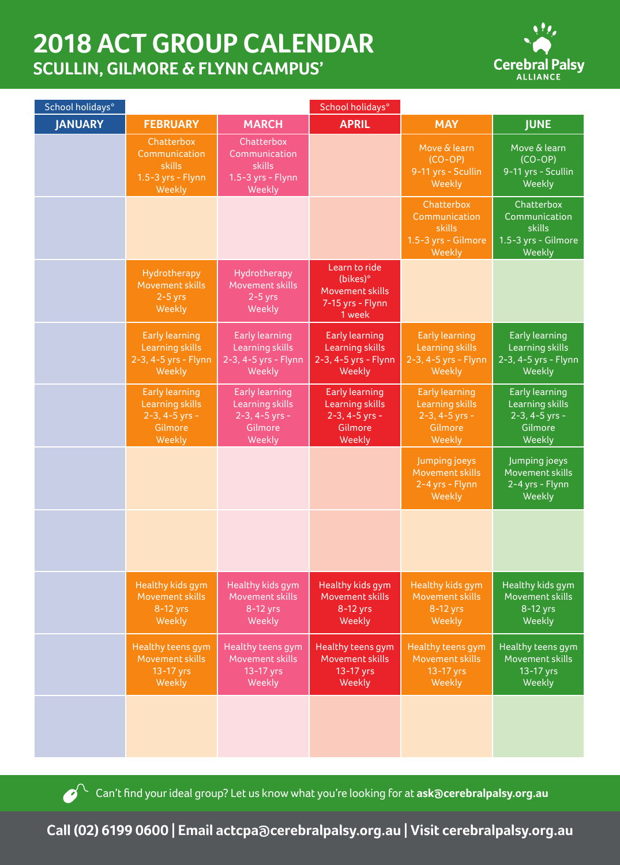## **2018 ACT GROUP CALENDAR SCULLIN, GILMORE & FLYNN CAMPUS'**



| School holidays* | School holidays*                                                                         |                                                                                 |                                                                                   |                                                                                        |                                                                                 |
|------------------|------------------------------------------------------------------------------------------|---------------------------------------------------------------------------------|-----------------------------------------------------------------------------------|----------------------------------------------------------------------------------------|---------------------------------------------------------------------------------|
| <b>JANUARY</b>   | <b>FEBRUARY</b>                                                                          | <b>MARCH</b>                                                                    | <b>APRIL</b>                                                                      | <b>MAY</b>                                                                             | <b>JUNE</b>                                                                     |
|                  | Chatterbox<br>Communication<br><b>skills</b><br>1.5-3 yrs - Flynn<br>Weekly              | Chatterbox<br>Communication<br><b>skills</b><br>1.5-3 yrs - Flynn<br>Weekly     |                                                                                   | Move & learn<br>$(CO-OP)$<br>9-11 yrs - Scullin<br>Weekly                              | Move & learn<br>$(CO-OP)$<br>9-11 yrs - Scullin<br>Weekly                       |
|                  |                                                                                          |                                                                                 |                                                                                   | Chatterbox<br>Communication<br>skills<br>1.5-3 yrs - Gilmore<br>Weekly                 | Chatterbox<br>Communication<br>skills<br>1.5-3 yrs - Gilmore<br>Weekly          |
|                  | Hydrotherapy<br>Movement skills<br>$2-5$ yrs<br>Weekly                                   | Hydrotherapy<br>Movement skills<br>$2-5$ yrs<br>Weekly                          | Learn to ride<br>(bikes)*<br><b>Movement skills</b><br>7-15 yrs - Flynn<br>1 week |                                                                                        |                                                                                 |
|                  | <b>Early learning</b><br><b>Learning skills</b><br>2-3, 4-5 yrs - Flynn<br>Weekly        | <b>Early learning</b><br>Learning skills<br>2-3, 4-5 yrs - Flynn<br>Weekly      | <b>Early learning</b><br>Learning skills<br>2-3, 4-5 yrs - Flynn<br>Weekly        | <b>Early learning</b><br><b>Learning skills</b><br>2-3, 4-5 yrs - Flynn<br>Weekly      | <b>Early learning</b><br>Learning skills<br>2-3, 4-5 yrs - Flynn<br>Weekly      |
|                  | <b>Early learning</b><br><b>Learning skills</b><br>$2-3, 4-5$ yrs -<br>Gilmore<br>Weekly | <b>Early learning</b><br>Learning skills<br>2-3, 4-5 yrs -<br>Gilmore<br>Weekly | <b>Early learning</b><br>Learning skills<br>2-3, 4-5 yrs -<br>Gilmore<br>Weekly   | <b>Early learning</b><br><b>Learning skills</b><br>2-3, 4-5 yrs -<br>Gilmore<br>Weekly | <b>Early learning</b><br>Learning skills<br>2-3, 4-5 yrs -<br>Gilmore<br>Weekly |
|                  |                                                                                          |                                                                                 |                                                                                   | Jumping joeys<br>Movement skills<br>2-4 yrs - Flynn<br>Weekly                          | Jumping joeys<br>Movement skills<br>2-4 yrs - Flynn<br>Weekly                   |
|                  |                                                                                          |                                                                                 |                                                                                   |                                                                                        |                                                                                 |
|                  | Healthy kids gym<br>Movement skills<br>8-12 yrs<br>Weekly                                | Healthy kids gym<br>Movement skills<br>8-12 yrs<br>Weekly                       | Healthy kids gym<br>Movement skills<br>8-12 yrs<br>Weekly                         | Healthy kids gym<br>Movement skills<br>$8-12$ yrs<br>Weekly                            | Healthy kids gym<br>Movement skills<br>8-12 yrs<br>Weekly                       |
|                  | Healthy teens gym<br>Movement skills<br>13-17 yrs<br>Weekly                              | Healthy teens gym<br>Movement skills<br>13-17 yrs<br>Weekly                     | Healthy teens gym<br>Movement skills<br>13-17 yrs<br>Weekly                       | Healthy teens gym<br>Movement skills<br>13-17 yrs<br>Weekly                            | Healthy teens gym<br>Movement skills<br>13-17 yrs<br>Weekly                     |
|                  |                                                                                          |                                                                                 |                                                                                   |                                                                                        |                                                                                 |

Can't find your ideal group? Let us know what you're looking for at **ask@cerebralpalsy.org.au** 

**Call (02) 6199 0600 | Email actcpa@cerebralpalsy.org.au | Visit cerebralpalsy.org.au**